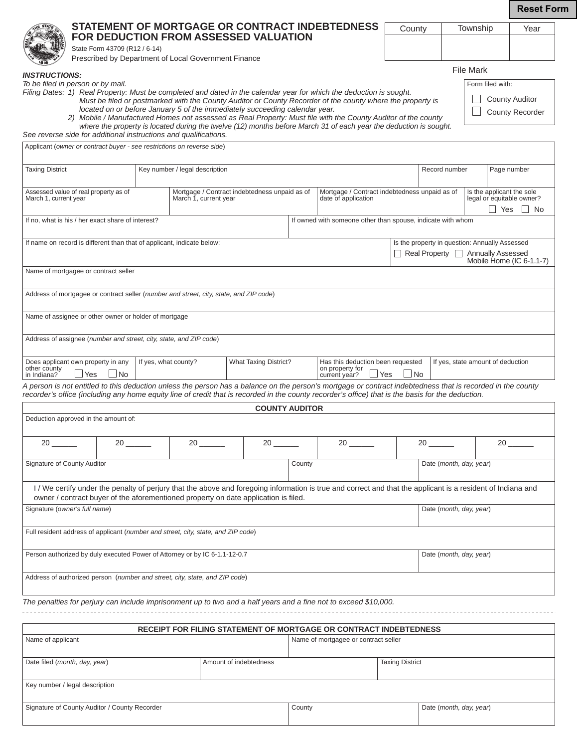**Reset Form**

|                                                                                                                                                                                                                                                                                                                   |                      |                                |                                                                             |        |                                                                                                                                                                                                                                                                                                                                                  |                                                       |                                                                       |                  | <b>Reset For</b>                                                           |  |  |
|-------------------------------------------------------------------------------------------------------------------------------------------------------------------------------------------------------------------------------------------------------------------------------------------------------------------|----------------------|--------------------------------|-----------------------------------------------------------------------------|--------|--------------------------------------------------------------------------------------------------------------------------------------------------------------------------------------------------------------------------------------------------------------------------------------------------------------------------------------------------|-------------------------------------------------------|-----------------------------------------------------------------------|------------------|----------------------------------------------------------------------------|--|--|
| STATEMENT OF MORTGAGE OR CONTRACT INDEBTEDNESS<br>FOR DEDUCTION FROM ASSESSED VALUATION                                                                                                                                                                                                                           |                      |                                |                                                                             |        | County                                                                                                                                                                                                                                                                                                                                           |                                                       | Township                                                              | Year             |                                                                            |  |  |
| State Form 43709 (R12 / 6-14)                                                                                                                                                                                                                                                                                     |                      |                                |                                                                             |        |                                                                                                                                                                                                                                                                                                                                                  |                                                       |                                                                       |                  |                                                                            |  |  |
| Prescribed by Department of Local Government Finance                                                                                                                                                                                                                                                              |                      |                                |                                                                             |        |                                                                                                                                                                                                                                                                                                                                                  |                                                       |                                                                       | <b>File Mark</b> |                                                                            |  |  |
| <b>INSTRUCTIONS:</b><br>To be filed in person or by mail.                                                                                                                                                                                                                                                         |                      |                                |                                                                             |        |                                                                                                                                                                                                                                                                                                                                                  |                                                       |                                                                       | Form filed with: |                                                                            |  |  |
| Filing Dates: 1) Real Property: Must be completed and dated in the calendar year for which the deduction is sought.<br>See reverse side for additional instructions and qualifications.                                                                                                                           |                      |                                | located on or before January 5 of the immediately succeeding calendar year. |        | Must be filed or postmarked with the County Auditor or County Recorder of the county where the property is<br>2) Mobile / Manufactured Homes not assessed as Real Property: Must file with the County Auditor of the county<br>where the property is located during the twelve (12) months before March 31 of each year the deduction is sought. |                                                       |                                                                       |                  | <b>County Auditor</b><br><b>County Recorder</b>                            |  |  |
| Applicant (owner or contract buyer - see restrictions on reverse side)                                                                                                                                                                                                                                            |                      |                                |                                                                             |        |                                                                                                                                                                                                                                                                                                                                                  |                                                       |                                                                       |                  |                                                                            |  |  |
| <b>Taxing District</b>                                                                                                                                                                                                                                                                                            |                      | Key number / legal description |                                                                             |        |                                                                                                                                                                                                                                                                                                                                                  | Record number<br>Page number                          |                                                                       |                  |                                                                            |  |  |
| Assessed value of real property as of<br>March 1, current year                                                                                                                                                                                                                                                    |                      | March 1, current year          | Mortgage / Contract indebtedness unpaid as of                               |        | date of application                                                                                                                                                                                                                                                                                                                              | Mortgage / Contract indebtedness unpaid as of         |                                                                       |                  | Is the applicant the sole<br>legal or equitable owner?<br>$\Box$ Yes<br>No |  |  |
| If no. what is his / her exact share of interest?                                                                                                                                                                                                                                                                 |                      |                                |                                                                             |        | If owned with someone other than spouse, indicate with whom                                                                                                                                                                                                                                                                                      |                                                       |                                                                       |                  |                                                                            |  |  |
| If name on record is different than that of applicant, indicate below:                                                                                                                                                                                                                                            |                      |                                |                                                                             |        |                                                                                                                                                                                                                                                                                                                                                  |                                                       | Is the property in question: Annually Assessed                        |                  |                                                                            |  |  |
|                                                                                                                                                                                                                                                                                                                   |                      |                                |                                                                             |        |                                                                                                                                                                                                                                                                                                                                                  |                                                       | <b>Annually Assessed</b><br>Real Property<br>Mobile Home (IC 6-1.1-7) |                  |                                                                            |  |  |
| Name of mortgagee or contract seller                                                                                                                                                                                                                                                                              |                      |                                |                                                                             |        |                                                                                                                                                                                                                                                                                                                                                  |                                                       |                                                                       |                  |                                                                            |  |  |
| Address of mortgagee or contract seller (number and street, city, state, and ZIP code)                                                                                                                                                                                                                            |                      |                                |                                                                             |        |                                                                                                                                                                                                                                                                                                                                                  |                                                       |                                                                       |                  |                                                                            |  |  |
|                                                                                                                                                                                                                                                                                                                   |                      |                                |                                                                             |        |                                                                                                                                                                                                                                                                                                                                                  |                                                       |                                                                       |                  |                                                                            |  |  |
| Name of assignee or other owner or holder of mortgage                                                                                                                                                                                                                                                             |                      |                                |                                                                             |        |                                                                                                                                                                                                                                                                                                                                                  |                                                       |                                                                       |                  |                                                                            |  |  |
| Address of assignee (number and street, city, state, and ZIP code)                                                                                                                                                                                                                                                |                      |                                |                                                                             |        |                                                                                                                                                                                                                                                                                                                                                  |                                                       |                                                                       |                  |                                                                            |  |  |
| Does applicant own property in any<br>other county<br>⊿ Yes<br>⊿No<br>in Indiana?                                                                                                                                                                                                                                 | If yes, what county? |                                | What Taxing District?                                                       |        | Has this deduction been requested<br>on property for<br>current year?                                                                                                                                                                                                                                                                            | If yes, state amount of deduction<br>$\Box$ No<br>Yes |                                                                       |                  |                                                                            |  |  |
| A person is not entitled to this deduction unless the person has a balance on the person's mortgage or contract indebtedness that is recorded in the county<br>recorder's office (including any home equity line of credit that is recorded in the county recorder's office) that is the basis for the deduction. |                      |                                |                                                                             |        |                                                                                                                                                                                                                                                                                                                                                  |                                                       |                                                                       |                  |                                                                            |  |  |
|                                                                                                                                                                                                                                                                                                                   |                      |                                | <b>COUNTY AUDITOR</b>                                                       |        |                                                                                                                                                                                                                                                                                                                                                  |                                                       |                                                                       |                  |                                                                            |  |  |
| Deduction approved in the amount of:                                                                                                                                                                                                                                                                              |                      |                                |                                                                             |        |                                                                                                                                                                                                                                                                                                                                                  |                                                       |                                                                       |                  |                                                                            |  |  |
|                                                                                                                                                                                                                                                                                                                   |                      |                                |                                                                             |        | $20 \ \_$                                                                                                                                                                                                                                                                                                                                        | $20 \ \_$                                             |                                                                       |                  |                                                                            |  |  |
| Signature of County Auditor                                                                                                                                                                                                                                                                                       |                      |                                |                                                                             | County |                                                                                                                                                                                                                                                                                                                                                  | Date (month, day, year)                               |                                                                       |                  |                                                                            |  |  |
| I / We certify under the penalty of perjury that the above and foregoing information is true and correct and that the applicant is a resident of Indiana and                                                                                                                                                      |                      |                                |                                                                             |        |                                                                                                                                                                                                                                                                                                                                                  |                                                       |                                                                       |                  |                                                                            |  |  |
| owner / contract buyer of the aforementioned property on date application is filed.<br>Signature (owner's full name)                                                                                                                                                                                              |                      |                                |                                                                             |        |                                                                                                                                                                                                                                                                                                                                                  | Date (month, day, year)                               |                                                                       |                  |                                                                            |  |  |
| Full resident address of applicant (number and street, city, state, and ZIP code)                                                                                                                                                                                                                                 |                      |                                |                                                                             |        |                                                                                                                                                                                                                                                                                                                                                  |                                                       |                                                                       |                  |                                                                            |  |  |
| Person authorized by duly executed Power of Attorney or by IC 6-1.1-12-0.7                                                                                                                                                                                                                                        |                      |                                |                                                                             |        |                                                                                                                                                                                                                                                                                                                                                  | Date (month, day, year)                               |                                                                       |                  |                                                                            |  |  |
| Address of authorized person (number and street, city, state, and ZIP code)                                                                                                                                                                                                                                       |                      |                                |                                                                             |        |                                                                                                                                                                                                                                                                                                                                                  |                                                       |                                                                       |                  |                                                                            |  |  |
| The penalties for perjury can include imprisonment up to two and a half years and a fine not to exceed \$10,000.                                                                                                                                                                                                  |                      |                                |                                                                             |        |                                                                                                                                                                                                                                                                                                                                                  |                                                       |                                                                       |                  |                                                                            |  |  |
|                                                                                                                                                                                                                                                                                                                   |                      |                                |                                                                             |        | RECEIPT FOR FILING STATEMENT OF MORTGAGE OR CONTRACT INDEBTEDNESS                                                                                                                                                                                                                                                                                |                                                       |                                                                       |                  |                                                                            |  |  |
| Name of applicant                                                                                                                                                                                                                                                                                                 |                      |                                |                                                                             |        | Name of mortgagee or contract seller                                                                                                                                                                                                                                                                                                             |                                                       |                                                                       |                  |                                                                            |  |  |

| Name of applicant                             | Name of mortgagee or contract seller |  |                         |  |  |  |  |  |  |
|-----------------------------------------------|--------------------------------------|--|-------------------------|--|--|--|--|--|--|
|                                               |                                      |  |                         |  |  |  |  |  |  |
| Date filed (month, day, year)                 | Amount of indebtedness               |  | <b>Taxing District</b>  |  |  |  |  |  |  |
|                                               |                                      |  |                         |  |  |  |  |  |  |
| Key number / legal description                |                                      |  |                         |  |  |  |  |  |  |
|                                               |                                      |  |                         |  |  |  |  |  |  |
| Signature of County Auditor / County Recorder | County                               |  | Date (month, day, year) |  |  |  |  |  |  |
|                                               |                                      |  |                         |  |  |  |  |  |  |